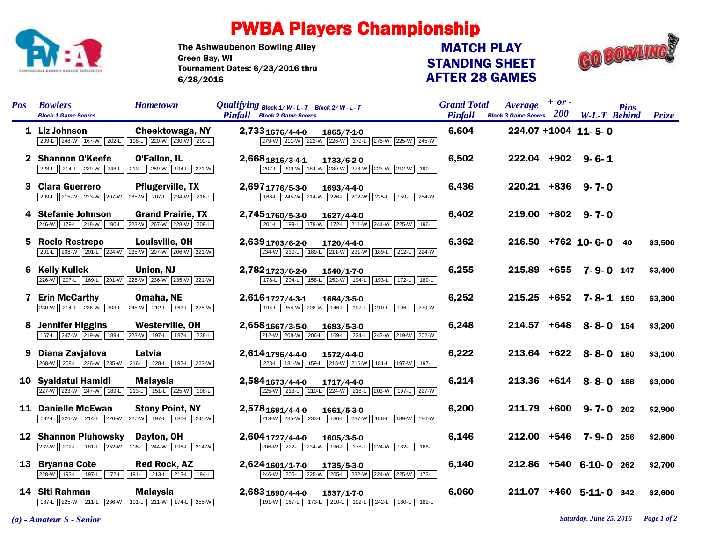

## PWBA Players Championship

The Ashwaubenon Bowling Alley Tournament Dates: 6/23/2016 thru 6/28/2016 Green Bay, WI

## STANDING SHEET AFTER 28 GAMES MATCH PLAY



| <b>Pos</b>   | <b>Bowlers</b><br><b>Hometown</b><br><b>Block 1 Game Scores</b>                                        | Qualifying $Block 1/W-L-T$ Block 2/W-L-T<br><b>Pinfall</b> Block 2 Game Scores               | <b>Grand Total</b><br><b>Pinfall</b> | $Average + or -$<br><b>Block 3 Game Scores</b> $200$ | <b>W-L-T</b> Behind    | <b>Pins</b> | Prize   |
|--------------|--------------------------------------------------------------------------------------------------------|----------------------------------------------------------------------------------------------|--------------------------------------|------------------------------------------------------|------------------------|-------------|---------|
|              | 1 Liz Johnson<br>Cheektowaga, NY<br>209-L 248-W 167-W 202-L 198-L 220-W 230-W 202-L                    | 2,7331676/4-4-0<br>1865/7-1-0<br>279-W 211-W 222-W 226-W 179-L 278-W 225-W 245-W             | 6,604                                | 224.07 +1004 11-5-0                                  |                        |             |         |
| $\mathbf{2}$ | <b>Shannon O'Keefe</b><br>O'Fallon, IL<br>228-L 214-T 239-W 248-L 213-L 259-W 194-L 221-W              | 2,6681816/3-4-1<br>1733/6-2-0<br>207-L 209-W 184-W 230-W 278-W 223-W 212-W 190-L             | 6,502                                | 222.04 +902 9-6-1                                    |                        |             |         |
| 3            | <b>Clara Guerrero</b><br><b>Pflugerville, TX</b><br>209-L 215-W 223-W 207-W 265-W 207-L 234-W 216-L    | 2,6971776/5-3-0<br>1693/4-4-0<br>168-L 245-W 214-W 226-L 202-W 225-L 159-L 254-W             | 6,436                                | $220.21 + 836$ 9-7-0                                 |                        |             |         |
| 4            | <b>Stefanie Johnson</b><br><b>Grand Prairie, TX</b><br>246-W 179-L 218-W 190-L 223-W 267-W 228-W 209-L | 2,7451760/5-3-0<br>$1627/4 - 4 - 0$<br>201-L 199-L 179-W 172-L 211-W 244-W 225-W 196-L       | 6,402                                | $219.00 + 802$ 9-7-0                                 |                        |             |         |
| 5.           | <b>Rocio Restrepo</b><br>Louisville, OH<br>201-L 208-W 201-L 224-W 235-W 207-W 206-W 221-W             | 2,6391703/6-2-0<br>1720/4-4-0<br>234-W 230-L 189-L 211-W 231-W 189-L 212-L 224-W             | 6,362                                |                                                      | $216.50$ +762 10-6-0   | 40          | \$3,500 |
| 6            | <b>Kelly Kulick</b><br>Union, NJ<br>226-W 207-L 169-L 201-W 228-W 236-W 235-W 221-W                    | 2,7821723/6-2-0<br>1540/1-7-0<br>178-L 204-L 158-L 252-W 194-L 193-L 172-L 189-L             | 6,255                                |                                                      | 215.89 +655 7-9-0 147  |             | \$3,400 |
|              | 7 Erin McCarthy<br>Omaha, NE<br>230-W 214-T 236-W 203-L 245-W 212-L 162-L 225-W                        | 2,6161727/4-3-1<br>1684/3-5-0<br>194-L 254-W 208-W 146-L 197-L 210-L 196-L 279-W             | 6,252                                |                                                      | 215.25 +652 7-8-1 150  |             | \$3,300 |
| 8            | <b>Jennifer Higgins</b><br>Westerville, OH<br>167-L 247-W 219-W 189-L 223-W 197-L 187-L 238-L          | 2,6581667/3-5-0<br>1683/5-3-0<br>212-W 208-W 206-L 169-L 224-L 243-W 219-W 202-W             | 6,248                                |                                                      | 214.57 +648 8-8-0 154  |             | \$3,200 |
| 9            | Diana Zavjalova<br>Latvia<br>268-W 208-L 226-W 235-W 216-L 228-L 192-L 223-W                           | 2,6141796/4-4-0<br>1572/4-4-0<br>223-L 181-W 159-L 218-W 216-W 181-L 197-W 197-L             | 6,222                                |                                                      | 213.64 +622 8-8-0 180  |             | \$3,100 |
|              | 10 Syaidatul Hamidi<br><b>Malaysia</b><br>227-W 223-W 247-W 189-L 213-L 151-L 225-W 198-L              | 2,5841673/4-4-0<br>1717/4-4-0<br>225-W 213-L 210-L 224-W 218-L 203-W 197-L 227-W             | 6,214                                |                                                      | 213.36 +614 8-8-0 188  |             | \$3,000 |
|              | 11 Danielle McEwan<br><b>Stony Point, NY</b><br>182-L 226-W 214-L 220-W 227-W 197-L 180-L 245-W        | 2,5781691/4-4-0<br>1661/5-3-0<br>213-W 235-W 233-L 180-L 237-W 188-L 189-W 186-W             | 6,200                                |                                                      | 211.79 +600 9-7-0 202  |             | \$2,900 |
|              | <b>12 Shannon Pluhowsky</b><br>Dayton, OH<br>232-W 202-L 181-L 252-W 206-L 244-W 196-L 214-W           | 2,6041727/4-4-0<br>$1605/3 - 5 - 0$<br>206-W 222-L 234-W 196-L 175-L 224-W 182-L 166-L       | 6,146                                |                                                      | 212.00 +546 7-9-0 256  |             | \$2,800 |
|              | 13 Bryanna Cote<br><b>Red Rock, AZ</b><br>228-W 193-L 197-L 172-L 191-L 213-L 213-L 194-L              | 2,624 <sub>1601/1-7-0</sub><br>1735/5-3-0<br>246-W 205-L 225-W 205-L 232-W 224-W 225-W 173-L | 6,140                                |                                                      | 212.86 +540 6-10-0 262 |             | \$2,700 |
|              | 14 Siti Rahman<br><b>Malaysia</b><br>187-L 225-W 211-L 236-W 191-L 211-W 174-L 255-W                   | 2,6831690/4-4-0<br>$1537/1 - 7 - 0$<br>191-W 167-L 173-L 210-L 192-L 242-L 180-L 182-L       | 6,060                                | 211.07                                               | $+460$ 5-11-0 342      |             | \$2,600 |